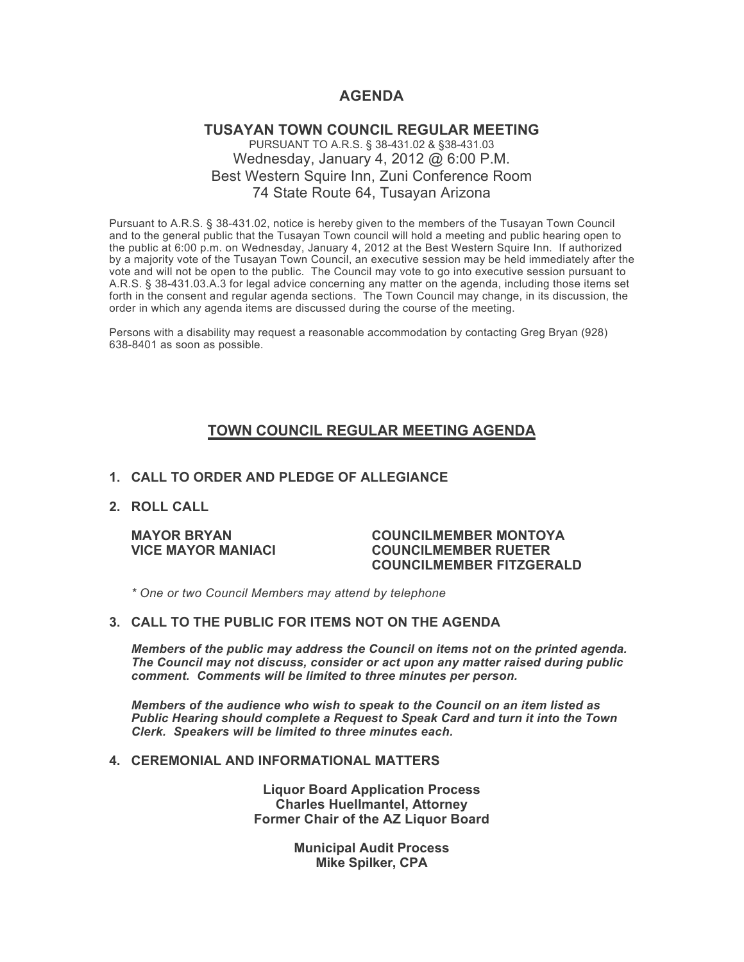# **AGENDA**

### **TUSAYAN TOWN COUNCIL REGULAR MEETING** PURSUANT TO A.R.S. § 38-431.02 & §38-431.03 Wednesday, January 4, 2012 @ 6:00 P.M. Best Western Squire Inn, Zuni Conference Room 74 State Route 64, Tusayan Arizona

Pursuant to A.R.S. § 38-431.02, notice is hereby given to the members of the Tusayan Town Council and to the general public that the Tusayan Town council will hold a meeting and public hearing open to the public at 6:00 p.m. on Wednesday, January 4, 2012 at the Best Western Squire Inn. If authorized by a majority vote of the Tusayan Town Council, an executive session may be held immediately after the vote and will not be open to the public. The Council may vote to go into executive session pursuant to A.R.S. § 38-431.03.A.3 for legal advice concerning any matter on the agenda, including those items set forth in the consent and regular agenda sections. The Town Council may change, in its discussion, the order in which any agenda items are discussed during the course of the meeting.

Persons with a disability may request a reasonable accommodation by contacting Greg Bryan (928) 638-8401 as soon as possible.

# **TOWN COUNCIL REGULAR MEETING AGENDA**

#### **1. CALL TO ORDER AND PLEDGE OF ALLEGIANCE**

**2. ROLL CALL**

#### **MAYOR BRYAN COUNCILMEMBER MONTOYA VICE MAYOR MANIACI COUNCILMEMBER RUETER COUNCILMEMBER FITZGERALD**

*\* One or two Council Members may attend by telephone*

#### **3. CALL TO THE PUBLIC FOR ITEMS NOT ON THE AGENDA**

*Members of the public may address the Council* **o***n items not on the printed agenda. The Council may not discuss, consider or act upon any matter raised during public comment. Comments will be limited to three minutes per person.*

*Members of the audience who wish to speak to the Council on an item listed as Public Hearing should complete a Request to Speak Card and turn it into the Town Clerk. Speakers will be limited to three minutes each.*

#### **4. CEREMONIAL AND INFORMATIONAL MATTERS**

**Liquor Board Application Process Charles Huellmantel, Attorney Former Chair of the AZ Liquor Board**

> **Municipal Audit Process Mike Spilker, CPA**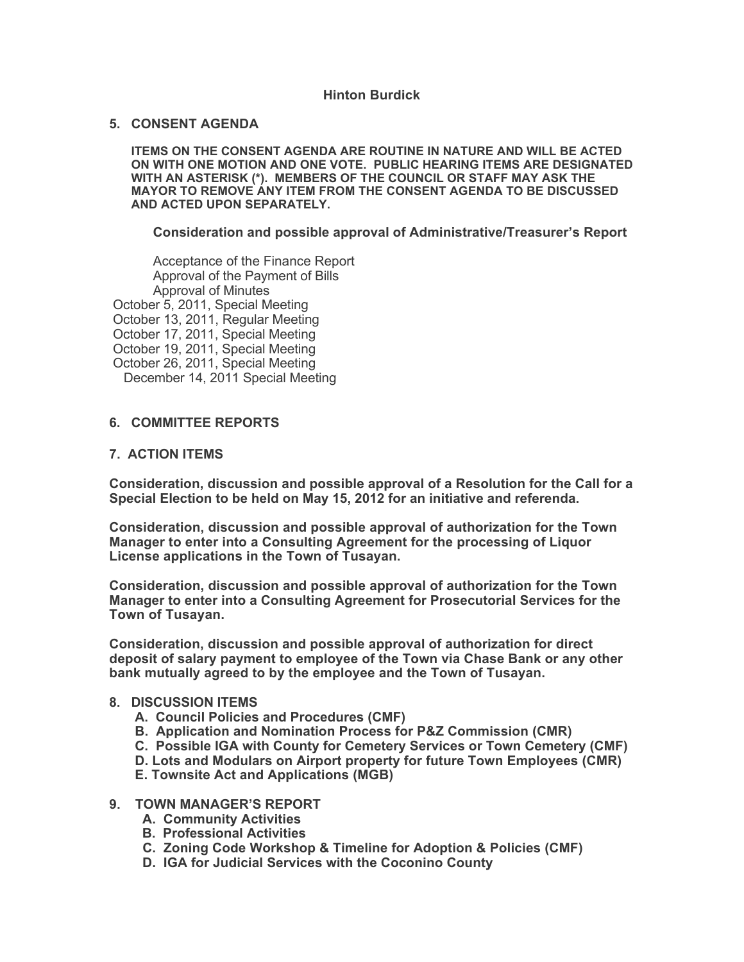### **5. CONSENT AGENDA**

**ITEMS ON THE CONSENT AGENDA ARE ROUTINE IN NATURE AND WILL BE ACTED ON WITH ONE MOTION AND ONE VOTE. PUBLIC HEARING ITEMS ARE DESIGNATED WITH AN ASTERISK (\*). MEMBERS OF THE COUNCIL OR STAFF MAY ASK THE MAYOR TO REMOVE ANY ITEM FROM THE CONSENT AGENDA TO BE DISCUSSED AND ACTED UPON SEPARATELY.**

**Consideration and possible approval of Administrative/Treasurer's Report**

Acceptance of the Finance Report Approval of the Payment of Bills Approval of Minutes October 5, 2011, Special Meeting October 13, 2011, Regular Meeting October 17, 2011, Special Meeting October 19, 2011, Special Meeting October 26, 2011, Special Meeting December 14, 2011 Special Meeting

# **6. COMMITTEE REPORTS**

# **7. ACTION ITEMS**

**Consideration, discussion and possible approval of a Resolution for the Call for a Special Election to be held on May 15, 2012 for an initiative and referenda.**

**Consideration, discussion and possible approval of authorization for the Town Manager to enter into a Consulting Agreement for the processing of Liquor License applications in the Town of Tusayan.**

**Consideration, discussion and possible approval of authorization for the Town Manager to enter into a Consulting Agreement for Prosecutorial Services for the Town of Tusayan.**

**Consideration, discussion and possible approval of authorization for direct deposit of salary payment to employee of the Town via Chase Bank or any other bank mutually agreed to by the employee and the Town of Tusayan.**

# **8. DISCUSSION ITEMS**

- **A. Council Policies and Procedures (CMF)**
- **B. Application and Nomination Process for P&Z Commission (CMR)**
- **C. Possible IGA with County for Cemetery Services or Town Cemetery (CMF)**
- **D. Lots and Modulars on Airport property for future Town Employees (CMR)**
- **E. Townsite Act and Applications (MGB)**

# **9. TOWN MANAGER'S REPORT**

- **A. Community Activities**
- **B. Professional Activities**
- **C. Zoning Code Workshop & Timeline for Adoption & Policies (CMF)**
- **D. IGA for Judicial Services with the Coconino County**